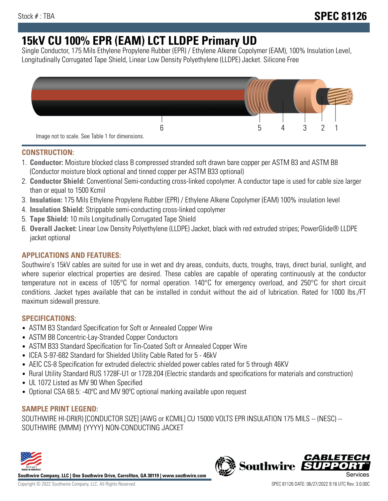# **15kV CU 100% EPR (EAM) LCT LLDPE Primary UD**

Single Conductor, 175 Mils Ethylene Propylene Rubber (EPR) / Ethylene Alkene Copolymer (EAM), 100% Insulation Level, Longitudinally Corrugated Tape Shield, Linear Low Density Polyethylene (LLDPE) Jacket. Silicone Free



## **CONSTRUCTION:**

- 1. **Conductor:** Moisture blocked class B compressed stranded soft drawn bare copper per ASTM B3 and ASTM B8 (Conductor moisture block optional and tinned copper per ASTM B33 optional)
- 2. **Conductor Shield:** Conventional Semi-conducting cross-linked copolymer. A conductor tape is used for cable size larger than or equal to 1500 Kcmil
- 3. **Insulation:** 175 Mils Ethylene Propylene Rubber (EPR) / Ethylene Alkene Copolymer (EAM) 100% insulation level
- 4. **Insulation Shield:** Strippable semi-conducting cross-linked copolymer
- 5. **Tape Shield:** 10 mils Longitudinally Corrugated Tape Shield
- 6. **Overall Jacket:** Linear Low Density Polyethylene (LLDPE) Jacket, black with red extruded stripes; PowerGlide® LLDPE jacket optional

## **APPLICATIONS AND FEATURES:**

Southwire's 15kV cables are suited for use in wet and dry areas, conduits, ducts, troughs, trays, direct burial, sunlight, and where superior electrical properties are desired. These cables are capable of operating continuously at the conductor temperature not in excess of 105°C for normal operation. 140°C for emergency overload, and 250°C for short circuit conditions. Jacket types available that can be installed in conduit without the aid of lubrication. Rated for 1000 lbs./FT maximum sidewall pressure.

### **SPECIFICATIONS:**

- ASTM B3 Standard Specification for Soft or Annealed Copper Wire
- ASTM B8 Concentric-Lay-Stranded Copper Conductors
- ASTM B33 Standard Specification for Tin-Coated Soft or Annealed Copper Wire
- ICEA S-97-682 Standard for Shielded Utility Cable Rated for 5 46kV
- AEIC CS-8 Specification for extruded dielectric shielded power cables rated for 5 through 46KV
- Rural Utility Standard RUS 1728F-U1 or 1728.204 (Electric standards and specifications for materials and construction)
- UL 1072 Listed as MV 90 When Specified
- Optional CSA 68.5: -40ºC and MV 90ºC optional marking available upon request

### **SAMPLE PRINT LEGEND:**

SOUTHWIRE HI-DRI(R) [CONDUCTOR SIZE] [AWG or KCMIL] CU 15000 VOLTS EPR INSULATION 175 MILS -- (NESC) -- SOUTHWIRE {MMM} {YYYY} NON-CONDUCTING JACKET



**Southwire Company, LLC | One Southwire Drive, Carrollton, GA 30119 | www.southwire.com**